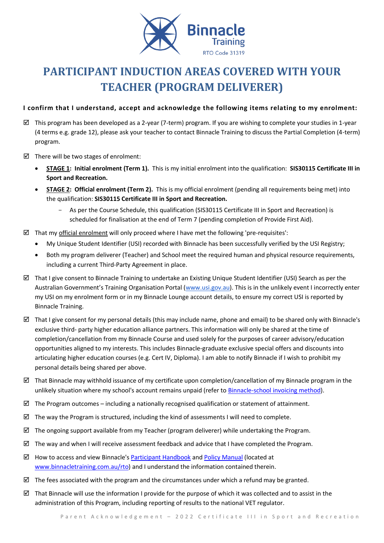

# **PARTICIPANT INDUCTION AREAS COVERED WITH YOUR TEACHER (PROGRAM DELIVERER)**

## **I confirm that I understand, accept and acknowledge the following items relating to my enrolment:**

- $\boxtimes$  This program has been developed as a 2-year (7-term) program. If you are wishing to complete your studies in 1-year (4 terms e.g. grade 12), please ask your teacher to contact Binnacle Training to discuss the Partial Completion (4-term) program.
- $\boxtimes$  There will be two stages of enrolment:
	- **STAGE 1: Initial enrolment (Term 1).** This is my initial enrolment into the qualification: **SIS30115 Certificate III in Sport and Recreation.**
	- **STAGE 2: Official enrolment (Term 2).** This is my official enrolment (pending all requirements being met) into the qualification: **SIS30115 Certificate III in Sport and Recreation.**
		- As per the Course Schedule, this qualification (SIS30115 Certificate III in Sport and Recreation) is scheduled for finalisation at the end of Term 7 (pending completion of Provide First Aid).
- $\boxtimes$  That my official enrolment will only proceed where I have met the following 'pre-requisites':
	- My Unique Student Identifier (USI) recorded with Binnacle has been successfully verified by the USI Registry;
	- Both my program deliverer (Teacher) and School meet the required human and physical resource requirements, including a current Third-Party Agreement in place.
- $\boxtimes$  That I give consent to Binnacle Training to undertake an Existing Unique Student Identifier (USI) Search as per the Australian Government's Training Organisation Portal ([www.usi.gov.au\)](http://www.usi.gov.au/). This is in the unlikely event I incorrectly enter my USI on my enrolment form or in my Binnacle Lounge account details, to ensure my correct USI is reported by Binnacle Training.
- That I give consent for my personal details (this may include name, phone and email) to be shared only with Binnacle's exclusive third- party higher education alliance partners. This information will only be shared at the time of completion/cancellation from my Binnacle Course and used solely for the purposes of career advisory/education opportunities aligned to my interests. This includes Binnacle-graduate exclusive special offers and discounts into articulating higher education courses (e.g. Cert IV, Diploma). I am able to notify Binnacle if I wish to prohibit my personal details being shared per above.
- $\boxtimes$  That Binnacle may withhold issuance of my certificate upon completion/cancellation of my Binnacle program in the unlikely situation where my school's account remains unpaid (refer t[o Binnacle-school invoicing method\)](http://www.binnacletraining.com.au/services-pricing.php).
- $\boxtimes$  The Program outcomes including a nationally recognised qualification or statement of attainment.
- $\boxtimes$  The way the Program is structured, including the kind of assessments I will need to complete.
- $\boxtimes$  The ongoing support available from my Teacher (program deliverer) while undertaking the Program.
- $\boxtimes$  The way and when I will receive assessment feedback and advice that I have completed the Program.
- $\boxtimes$  How to access and view Binnacle's [Participant Handbook](http://www.binnacletraining.com.au/rto.php) an[d Policy Manual](http://www.binnacletraining.com.au/rto.php) (located at [www.binnacletraining.com.au/rto\)](http://www.binnacletraining.com.au/rto) and I understand the information contained therein.
- $\boxtimes$  The fees associated with the program and the circumstances under which a refund may be granted.
- That Binnacle will use the information I provide for the purpose of which it was collected and to assist in the administration of this Program, including reporting of results to the national VET regulator.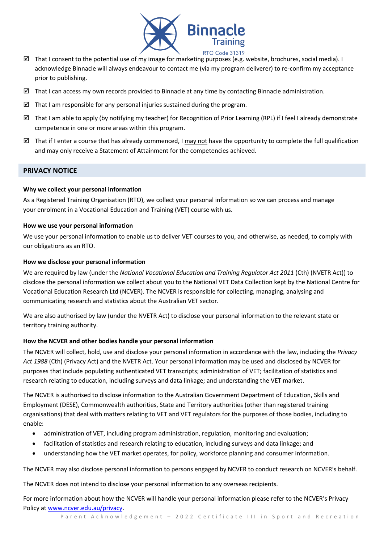

- That I consent to the potential use of my image for marketing purposes (e.g. website, brochures, social media). I acknowledge Binnacle will always endeavour to contact me (via my program deliverer) to re-confirm my acceptance prior to publishing.
- $\boxtimes$  That I can access my own records provided to Binnacle at any time by contacting Binnacle administration.
- That I am responsible for any personal injuries sustained during the program.
- $\boxtimes$  That I am able to apply (by notifying my teacher) for Recognition of Prior Learning (RPL) if I feel I already demonstrate competence in one or more areas within this program.
- That if I enter a course that has already commenced. I may not have the opportunity to complete the full qualification and may only receive a Statement of Attainment for the competencies achieved.

## **PRIVACY NOTICE**

## **Why we collect your personal information**

As a Registered Training Organisation (RTO), we collect your personal information so we can process and manage your enrolment in a Vocational Education and Training (VET) course with us.

#### **How we use your personal information**

We use your personal information to enable us to deliver VET courses to you, and otherwise, as needed, to comply with our obligations as an RTO.

#### **How we disclose your personal information**

We are required by law (under the *National Vocational Education and Training Regulator Act 2011* (Cth) (NVETR Act)) to disclose the personal information we collect about you to the National VET Data Collection kept by the National Centre for Vocational Education Research Ltd (NCVER). The NCVER is responsible for collecting, managing, analysing and communicating research and statistics about the Australian VET sector.

We are also authorised by law (under the NVETR Act) to disclose your personal information to the relevant state or territory training authority.

## **How the NCVER and other bodies handle your personal information**

The NCVER will collect, hold, use and disclose your personal information in accordance with the law, including the *Privacy Act 1988* (Cth) (Privacy Act) and the NVETR Act. Your personal information may be used and disclosed by NCVER for purposes that include populating authenticated VET transcripts; administration of VET; facilitation of statistics and research relating to education, including surveys and data linkage; and understanding the VET market.

The NCVER is authorised to disclose information to the Australian Government Department of Education, Skills and Employment (DESE), Commonwealth authorities, State and Territory authorities (other than registered training organisations) that deal with matters relating to VET and VET regulators for the purposes of those bodies, including to enable:

- administration of VET, including program administration, regulation, monitoring and evaluation;
- facilitation of statistics and research relating to education, including surveys and data linkage; and
- understanding how the VET market operates, for policy, workforce planning and consumer information.

The NCVER may also disclose personal information to persons engaged by NCVER to conduct research on NCVER's behalf.

The NCVER does not intend to disclose your personal information to any overseas recipients.

For more information about how the NCVER will handle your personal information please refer to the NCVER's Privacy Policy at [www.ncver.edu.au/privacy.](http://www.ncver.edu.au/privacy)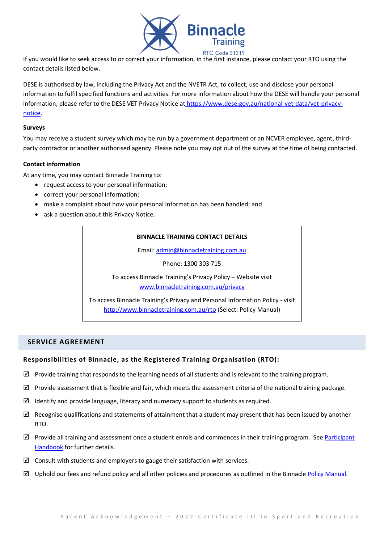

If you would like to seek access to or correct your information, in the first instance, please contact your RTO using the contact details listed below.

DESE is authorised by law, including the Privacy Act and the NVETR Act, to collect, use and disclose your personal information to fulfil specified functions and activities. For more information about how the DESE will handle your personal information, please refer to the DESE VET Privacy Notice at [https://www.dese.gov.au/national-vet-data/vet-privacy](https://www.dese.gov.au/national-vet-data/vet-privacy-notice)[notice.](https://www.dese.gov.au/national-vet-data/vet-privacy-notice)

#### **Surveys**

You may receive a student survey which may be run by a government department or an NCVER employee, agent, thirdparty contractor or another authorised agency. Please note you may opt out of the survey at the time of being contacted.

#### **Contact information**

At any time, you may contact Binnacle Training to:

- request access to your personal information;
- correct your personal information;
- make a complaint about how your personal information has been handled; and
- ask a question about this Privacy Notice.

## **BINNACLE TRAINING CONTACT DETAILS**

Email: [admin@binnacletraining.com.au](mailto:admin@binnacletraining.com.au)

Phone: 1300 303 715

To access Binnacle Training's Privacy Policy – Website visit [www.binnacletraining.com.au/privacy](http://www.binnacletraining.com.au/privacy)

To access Binnacle Training's Privacy and Personal Information Policy - visit <http://www.binnacletraining.com.au/rto> (Select: Policy Manual)

## **SERVICE AGREEMENT**

## **Responsibilities of Binnacle, as the Registered Training Organisation (RTO):**

- $\boxtimes$  Provide training that responds to the learning needs of all students and is relevant to the training program.
- $\boxtimes$  Provide assessment that is flexible and fair, which meets the assessment criteria of the national training package.
- $\boxtimes$  Identify and provide language, literacy and numeracy support to students as required.
- $\boxtimes$  Recognise qualifications and statements of attainment that a student may present that has been issued by another RTO.
- $\boxtimes$  Provide all training and assessment once a student enrols and commences in their training program. See Participant [Handbook](http://www.binnacletraining.com.au/rto.php) for further details.
- $\boxtimes$  Consult with students and employers to gauge their satisfaction with services.
- $\boxtimes$  Uphold our fees and refund policy and all other policies and procedures as outlined in the Binnacle [Policy Manual.](http://www.binnacletraining.com.au/rto.php)